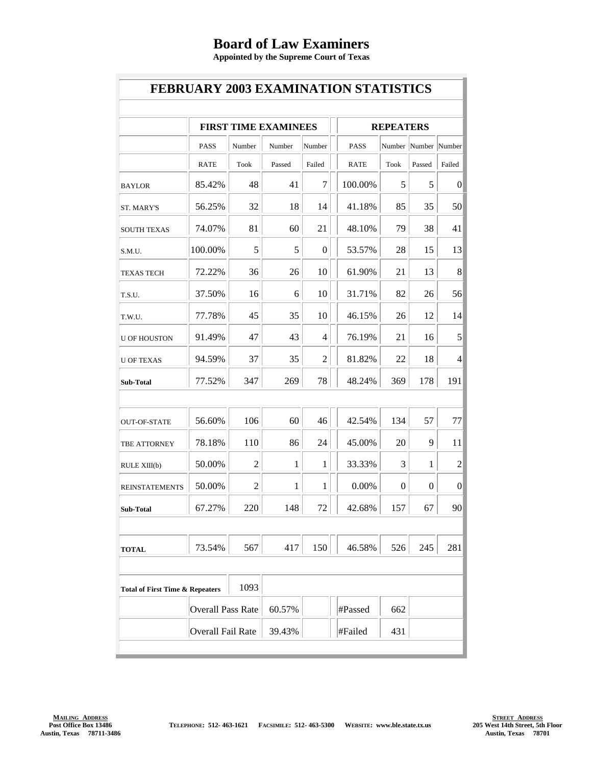## **Board of Law Examiners**

**Appointed by the Supreme Court of Texas**

| <b>FEBRUARY 2003 EXAMINATION STATISTICS</b>        |                             |                |        |                |  |                  |      |                      |                 |  |  |  |
|----------------------------------------------------|-----------------------------|----------------|--------|----------------|--|------------------|------|----------------------|-----------------|--|--|--|
|                                                    |                             |                |        |                |  |                  |      |                      |                 |  |  |  |
|                                                    | <b>FIRST TIME EXAMINEES</b> |                |        |                |  | <b>REPEATERS</b> |      |                      |                 |  |  |  |
|                                                    | <b>PASS</b>                 | Number         | Number | Number         |  | <b>PASS</b>      |      | Number Number Number |                 |  |  |  |
|                                                    | <b>RATE</b>                 | Took           | Passed | Failed         |  | <b>RATE</b>      | Took | Passed               | Failed          |  |  |  |
| <b>BAYLOR</b>                                      | 85.42%                      | 48             | 41     | 7              |  | 100.00%          | 5    | 5                    | 0               |  |  |  |
| <b>ST. MARY'S</b>                                  | 56.25%                      | 32             | 18     | 14             |  | 41.18%           | 85   | 35                   | 50              |  |  |  |
| <b>SOUTH TEXAS</b>                                 | 74.07%                      | 81             | 60     | 21             |  | 48.10%           | 79   | 38                   | 41              |  |  |  |
| S.M.U.                                             | 100.00%                     | 5              | 5      | $\mathbf{0}$   |  | 53.57%           | 28   | 15                   | 13              |  |  |  |
| TEXAS TECH                                         | 72.22%                      | 36             | 26     | 10             |  | 61.90%           | 21   | 13                   | 8               |  |  |  |
| T.S.U.                                             | 37.50%                      | 16             | 6      | 10             |  | 31.71%           | 82   | 26                   | 56              |  |  |  |
| T.W.U.                                             | 77.78%                      | 45             | 35     | 10             |  | 46.15%           | 26   | 12                   | 14              |  |  |  |
| U OF HOUSTON                                       | 91.49%                      | 47             | 43     | 4              |  | 76.19%           | 21   | 16                   | 5               |  |  |  |
| <b>U OF TEXAS</b>                                  | 94.59%                      | 37             | 35     | $\overline{2}$ |  | 81.82%           | 22   | 18                   | 4               |  |  |  |
| Sub-Total                                          | 77.52%                      | 347            | 269    | 78             |  | 48.24%           | 369  | 178                  | 191             |  |  |  |
|                                                    |                             |                |        |                |  |                  |      |                      |                 |  |  |  |
| <b>OUT-OF-STATE</b>                                | 56.60%                      | 106            | 60     | 46             |  | 42.54%           | 134  | 57                   | 77              |  |  |  |
| TBE ATTORNEY                                       | 78.18%                      | 110            | 86     | 24             |  | 45.00%           | 20   | 9                    | 11              |  |  |  |
| RULE XIII(b)                                       | 50.00%                      | $\overline{c}$ | 1      | 1              |  | 33.33%           | 3    | 1                    | $\overline{c}$  |  |  |  |
| <b>REINSTATEMENTS</b>                              | 50.00%                      | $\overline{c}$ | 1      | 1              |  | 0.00%            | 0    | 0                    | $\vert 0 \vert$ |  |  |  |
| Sub-Total                                          | 67.27%                      | 220            | 148    | 72             |  | 42.68%           | 157  | 67                   | 90              |  |  |  |
|                                                    |                             |                |        |                |  |                  |      |                      |                 |  |  |  |
| <b>TOTAL</b>                                       | 73.54%                      | 567            | 417    | 150            |  | 46.58%           | 526  | 245                  | 281             |  |  |  |
|                                                    |                             |                |        |                |  |                  |      |                      |                 |  |  |  |
| 1093<br><b>Total of First Time &amp; Repeaters</b> |                             |                |        |                |  |                  |      |                      |                 |  |  |  |
| <b>Overall Pass Rate</b>                           |                             |                | 60.57% |                |  | #Passed          | 662  |                      |                 |  |  |  |
| Overall Fail Rate                                  |                             |                | 39.43% |                |  | #Failed          | 431  |                      |                 |  |  |  |
|                                                    |                             |                |        |                |  |                  |      |                      |                 |  |  |  |